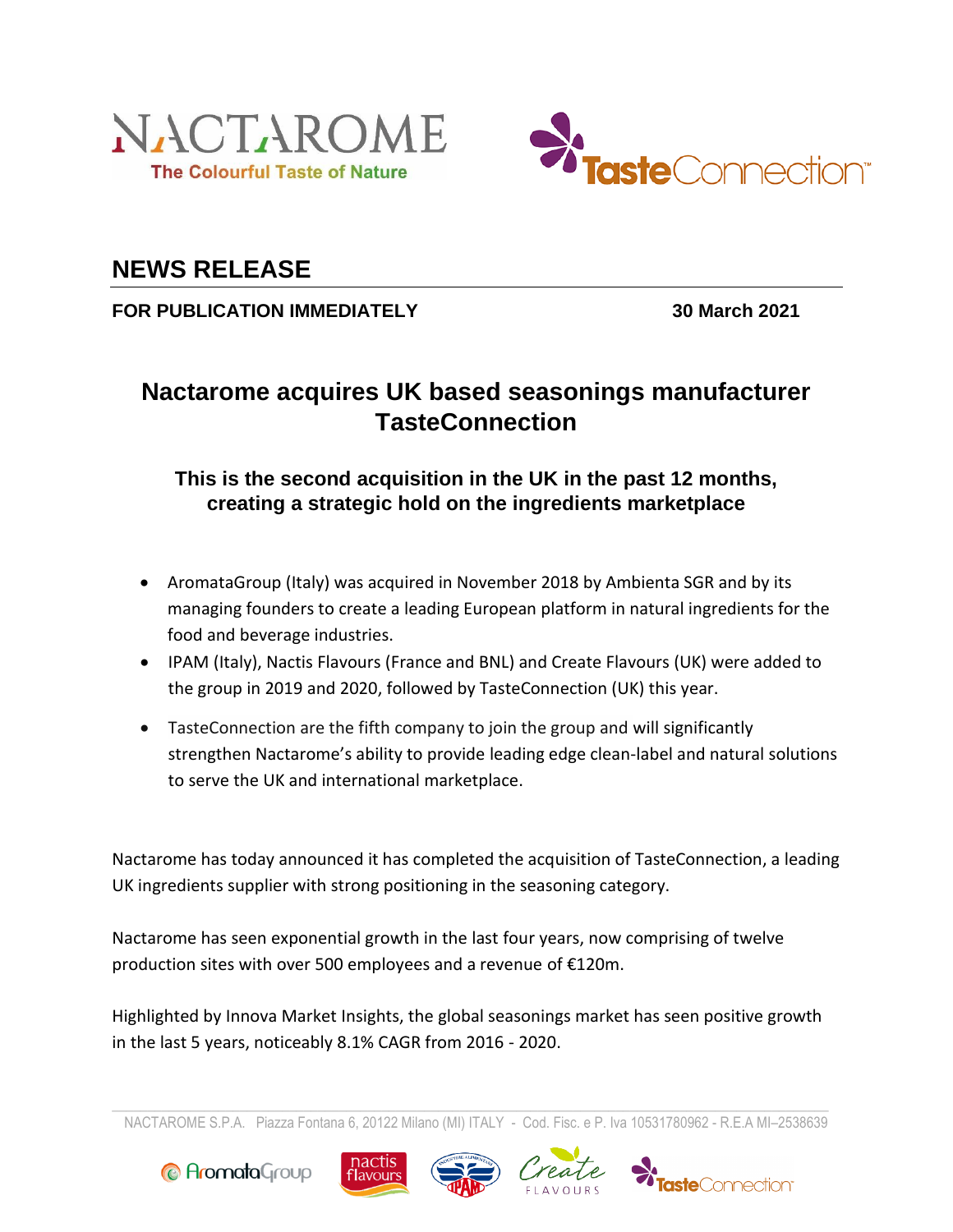



## **NEWS RELEASE**

**FOR PUBLICATION IMMEDIATELY 30 March 2021**

# **Nactarome acquires UK based seasonings manufacturer TasteConnection**

### **This is the second acquisition in the UK in the past 12 months, creating a strategic hold on the ingredients marketplace**

- AromataGroup (Italy) was acquired in November 2018 by Ambienta SGR and by its managing founders to create a leading European platform in natural ingredients for the food and beverage industries.
- IPAM (Italy), Nactis Flavours (France and BNL) and Create Flavours (UK) were added to the group in 2019 and 2020, followed by TasteConnection (UK) this year.
- TasteConnection are the fifth company to join the group and will significantly strengthen Nactarome's ability to provide leading edge clean-label and natural solutions to serve the UK and international marketplace.

Nactarome has today announced it has completed the acquisition of TasteConnection, a leading UK ingredients supplier with strong positioning in the seasoning category.

Nactarome has seen exponential growth in the last four years, now comprising of twelve production sites with over 500 employees and a revenue of €120m.

Highlighted by Innova Market Insights, the global seasonings market has seen positive growth in the last 5 years, noticeably 8.1% CAGR from 2016 - 2020.

NACTAROME S.P.A. Piazza Fontana 6, 20122 Milano (MI) ITALY - Cod. Fisc. e P. Iva 10531780962 - R.E.A MI–2538639